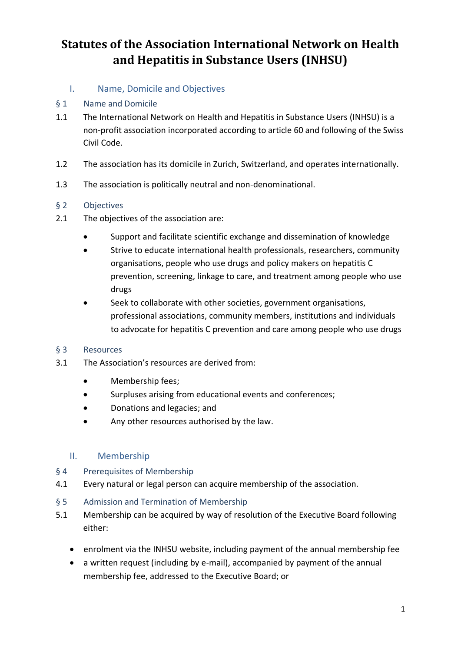- I. Name, Domicile and Objectives
- § 1 Name and Domicile
- 1.1 The International Network on Health and Hepatitis in Substance Users (INHSU) is a non-profit association incorporated according to article 60 and following of the Swiss Civil Code.
- 1.2 The association has its domicile in Zurich, Switzerland, and operates internationally.
- 1.3 The association is politically neutral and non-denominational.

### § 2 Objectives

- 2.1 The objectives of the association are:
	- Support and facilitate scientific exchange and dissemination of knowledge
	- Strive to educate international health professionals, researchers, community organisations, people who use drugs and policy makers on hepatitis C prevention, screening, linkage to care, and treatment among people who use drugs
	- Seek to collaborate with other societies, government organisations, professional associations, community members, institutions and individuals to advocate for hepatitis C prevention and care among people who use drugs

#### § 3 Resources

- 3.1 The Association's resources are derived from:
	- Membership fees;
	- Surpluses arising from educational events and conferences;
	- Donations and legacies; and
	- Any other resources authorised by the law.

### II. Membership

#### § 4 Prerequisites of Membership

- 4.1 Every natural or legal person can acquire membership of the association.
- § 5 Admission and Termination of Membership
- 5.1 Membership can be acquired by way of resolution of the Executive Board following either:
	- enrolment via the INHSU website, including payment of the annual membership fee
	- a written request (including by e-mail), accompanied by payment of the annual membership fee, addressed to the Executive Board; or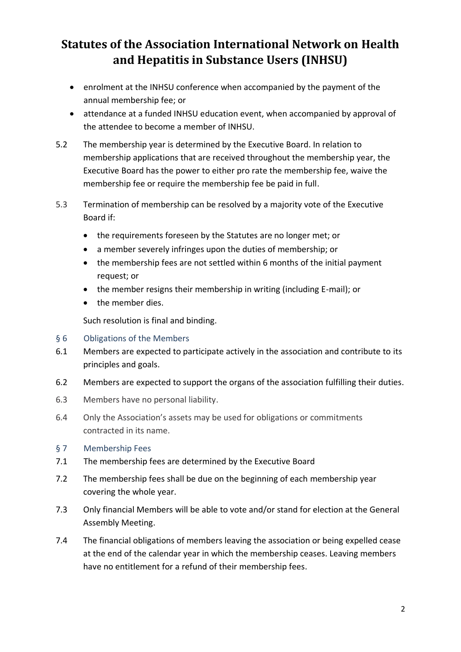- enrolment at the INHSU conference when accompanied by the payment of the annual membership fee; or
- attendance at a funded INHSU education event, when accompanied by approval of the attendee to become a member of INHSU.
- 5.2 The membership year is determined by the Executive Board. In relation to membership applications that are received throughout the membership year, the Executive Board has the power to either pro rate the membership fee, waive the membership fee or require the membership fee be paid in full.
- 5.3 Termination of membership can be resolved by a majority vote of the Executive Board if:
	- the requirements foreseen by the Statutes are no longer met; or
	- a member severely infringes upon the duties of membership; or
	- the membership fees are not settled within 6 months of the initial payment request; or
	- the member resigns their membership in writing (including E-mail); or
	- the member dies.

Such resolution is final and binding.

- § 6 Obligations of the Members
- 6.1 Members are expected to participate actively in the association and contribute to its principles and goals.
- 6.2 Members are expected to support the organs of the association fulfilling their duties.
- 6.3 Members have no personal liability.
- 6.4 Only the Association's assets may be used for obligations or commitments contracted in its name.
- § 7 Membership Fees
- 7.1 The membership fees are determined by the Executive Board
- 7.2 The membership fees shall be due on the beginning of each membership year covering the whole year.
- 7.3 Only financial Members will be able to vote and/or stand for election at the General Assembly Meeting.
- 7.4 The financial obligations of members leaving the association or being expelled cease at the end of the calendar year in which the membership ceases. Leaving members have no entitlement for a refund of their membership fees.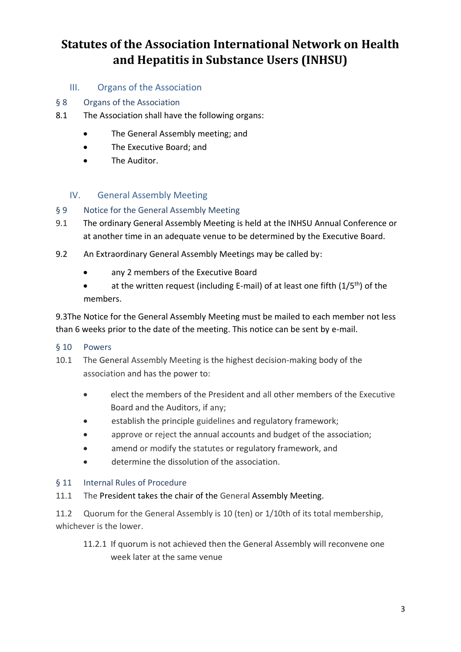### III. Organs of the Association

- § 8 Organs of the Association
- 8.1 The Association shall have the following organs:
	- The General Assembly meeting; and
	- The Executive Board; and
	- The Auditor.

### IV. General Assembly Meeting

#### § 9 Notice for the General Assembly Meeting

- 9.1 The ordinary General Assembly Meeting is held at the INHSU Annual Conference or at another time in an adequate venue to be determined by the Executive Board.
- 9.2 An Extraordinary General Assembly Meetings may be called by:
	- any 2 members of the Executive Board
	- at the written request (including E-mail) of at least one fifth  $(1/5<sup>th</sup>)$  of the members.

9.3The Notice for the General Assembly Meeting must be mailed to each member not less than 6 weeks prior to the date of the meeting. This notice can be sent by e-mail.

#### § 10 Powers

- 10.1 The General Assembly Meeting is the highest decision-making body of the association and has the power to:
	- elect the members of the President and all other members of the Executive Board and the Auditors, if any;
	- establish the principle guidelines and regulatory framework;
	- approve or reject the annual accounts and budget of the association;
	- amend or modify the statutes or regulatory framework, and
	- determine the dissolution of the association.

#### § 11 Internal Rules of Procedure

11.1 The President takes the chair of the General Assembly Meeting.

11.2 Quorum for the General Assembly is 10 (ten) or 1/10th of its total membership, whichever is the lower.

11.2.1 If quorum is not achieved then the General Assembly will reconvene one week later at the same venue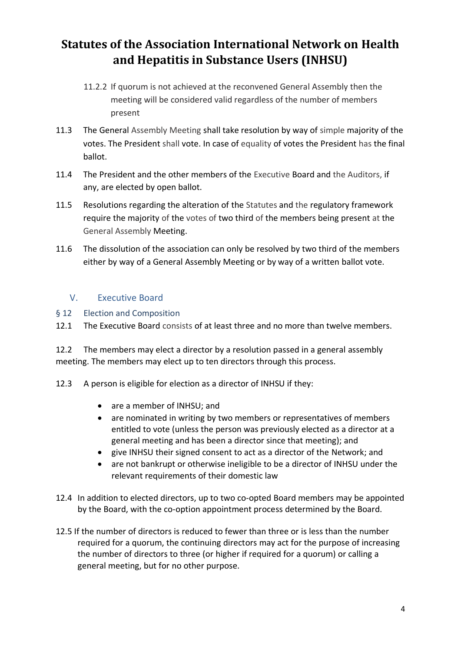- 11.2.2 If quorum is not achieved at the reconvened General Assembly then the meeting will be considered valid regardless of the number of members present
- 11.3 The General Assembly Meeting shall take resolution by way of simple majority of the votes. The President shall vote. In case of equality of votes the President has the final ballot.
- 11.4 The President and the other members of the Executive Board and the Auditors, if any, are elected by open ballot.
- 11.5 Resolutions regarding the alteration of the Statutes and the regulatory framework require the majority of the votes of two third of the members being present at the General Assembly Meeting.
- 11.6 The dissolution of the association can only be resolved by two third of the members either by way of a General Assembly Meeting or by way of a written ballot vote.

### V. Executive Board

§ 12 Election and Composition

12.1 The Executive Board consists of at least three and no more than twelve members.

12.2 The members may elect a director by a resolution passed in a general assembly meeting. The members may elect up to ten directors through this process.

- 12.3 A person is eligible for election as a director of INHSU if they:
	- are a member of INHSU; and
	- are nominated in writing by two members or representatives of members entitled to vote (unless the person was previously elected as a director at a general meeting and has been a director since that meeting); and
	- give INHSU their signed consent to act as a director of the Network; and
	- are not bankrupt or otherwise ineligible to be a director of INHSU under the relevant requirements of their domestic law
- 12.4 In addition to elected directors, up to two co-opted Board members may be appointed by the Board, with the co-option appointment process determined by the Board.
- 12.5 If the number of directors is reduced to fewer than three or is less than the number required for a quorum, the continuing directors may act for the purpose of increasing the number of directors to three (or higher if required for a quorum) or calling a general meeting, but for no other purpose.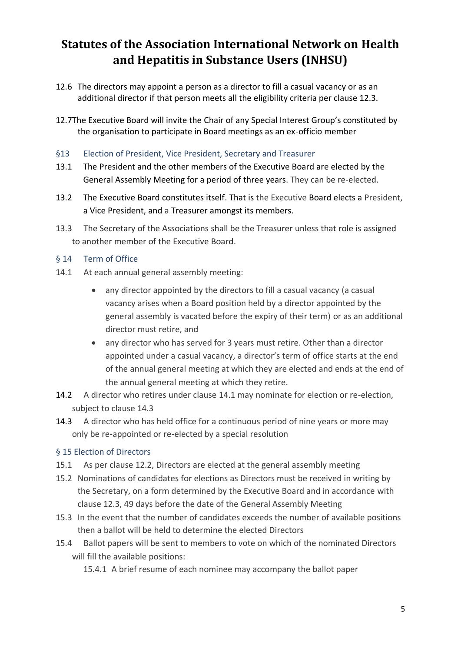- 12.6 The directors may appoint a person as a director to fill a casual vacancy or as an additional director if that person meets all the eligibility criteria per clause 12.3.
- 12.7The Executive Board will invite the Chair of any Special Interest Group's constituted by the organisation to participate in Board meetings as an ex-officio member
- §13 Election of President, Vice President, Secretary and Treasurer
- 13.1 The President and the other members of the Executive Board are elected by the General Assembly Meeting for a period of three years. They can be re-elected.
- 13.2 The Executive Board constitutes itself. That is the Executive Board elects a President, a Vice President, and a Treasurer amongst its members.
- 13.3 The Secretary of the Associations shall be the Treasurer unless that role is assigned to another member of the Executive Board.
- § 14 Term of Office
- 14.1 At each annual general assembly meeting:
	- any director appointed by the directors to fill a casual vacancy (a casual vacancy arises when a Board position held by a director appointed by the general assembly is vacated before the expiry of their term) or as an additional director must retire, and
	- any director who has served for 3 years must retire. Other than a director appointed under a casual vacancy, a director's term of office starts at the end of the annual general meeting at which they are elected and ends at the end of the annual general meeting at which they retire.
- 14.2 A director who retires under clause 14.1 may nominate for election or re-election, subject to clause 14.3
- 14.3 A director who has held office for a continuous period of nine years or more may only be re-appointed or re-elected by a special resolution

#### § 15 Election of Directors

- 15.1 As per clause 12.2, Directors are elected at the general assembly meeting
- 15.2 Nominations of candidates for elections as Directors must be received in writing by the Secretary, on a form determined by the Executive Board and in accordance with clause 12.3, 49 days before the date of the General Assembly Meeting
- 15.3 In the event that the number of candidates exceeds the number of available positions then a ballot will be held to determine the elected Directors
- 15.4 Ballot papers will be sent to members to vote on which of the nominated Directors will fill the available positions:

15.4.1 A brief resume of each nominee may accompany the ballot paper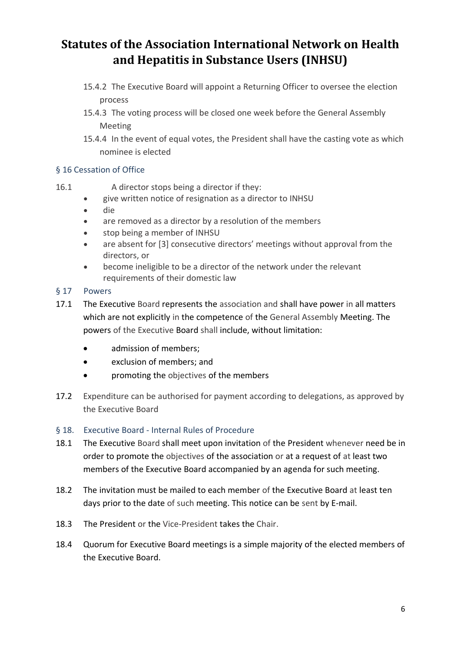- 15.4.2 The Executive Board will appoint a Returning Officer to oversee the election process
- 15.4.3 The voting process will be closed one week before the General Assembly Meeting
- 15.4.4 In the event of equal votes, the President shall have the casting vote as which nominee is elected

### § 16 Cessation of Office

- 16.1 A director stops being a director if they:
	- give written notice of resignation as a director to INHSU
	- die
	- are removed as a director by a resolution of the members
	- stop being a member of INHSU
	- are absent for [3] consecutive directors' meetings without approval from the directors, or
	- become ineligible to be a director of the network under the relevant requirements of their domestic law
- § 17 Powers
- 17.1 The Executive Board represents the association and shall have power in all matters which are not explicitly in the competence of the General Assembly Meeting. The powers of the Executive Board shall include, without limitation:
	- admission of members;
	- exclusion of members; and
	- promoting the objectives of the members
- 17.2 Expenditure can be authorised for payment according to delegations, as approved by the Executive Board
- § 18. Executive Board Internal Rules of Procedure
- 18.1 The Executive Board shall meet upon invitation of the President whenever need be in order to promote the objectives of the association or at a request of at least two members of the Executive Board accompanied by an agenda for such meeting.
- 18.2 The invitation must be mailed to each member of the Executive Board at least ten days prior to the date of such meeting. This notice can be sent by E-mail.
- 18.3 The President or the Vice-President takes the Chair.
- 18.4 Quorum for Executive Board meetings is a simple majority of the elected members of the Executive Board.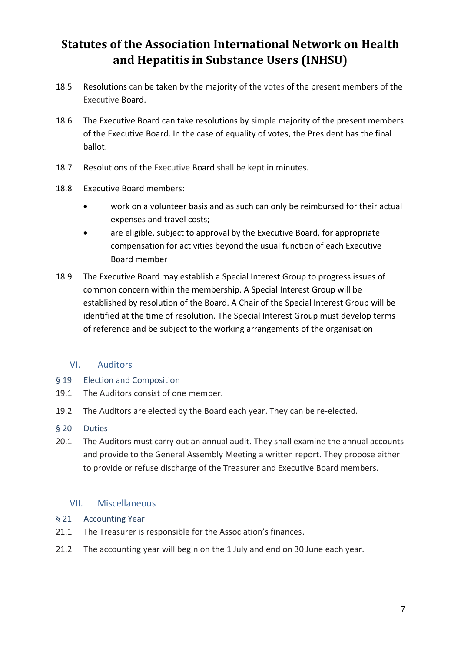- 18.5 Resolutions can be taken by the majority of the votes of the present members of the Executive Board.
- 18.6 The Executive Board can take resolutions by simple majority of the present members of the Executive Board. In the case of equality of votes, the President has the final ballot.
- 18.7 Resolutions of the Executive Board shall be kept in minutes.
- 18.8 Executive Board members:
	- work on a volunteer basis and as such can only be reimbursed for their actual expenses and travel costs;
	- are eligible, subject to approval by the Executive Board, for appropriate compensation for activities beyond the usual function of each Executive Board member
- 18.9 The Executive Board may establish a Special Interest Group to progress issues of common concern within the membership. A Special Interest Group will be established by resolution of the Board. A Chair of the Special Interest Group will be identified at the time of resolution. The Special Interest Group must develop terms of reference and be subject to the working arrangements of the organisation

### VI. Auditors

- § 19 Election and Composition
- 19.1 The Auditors consist of one member.
- 19.2 The Auditors are elected by the Board each year. They can be re-elected.
- § 20 Duties
- 20.1 The Auditors must carry out an annual audit. They shall examine the annual accounts and provide to the General Assembly Meeting a written report. They propose either to provide or refuse discharge of the Treasurer and Executive Board members.

#### VII. Miscellaneous

- § 21 Accounting Year
- 21.1 The Treasurer is responsible for the Association's finances.
- 21.2 The accounting year will begin on the 1 July and end on 30 June each year.